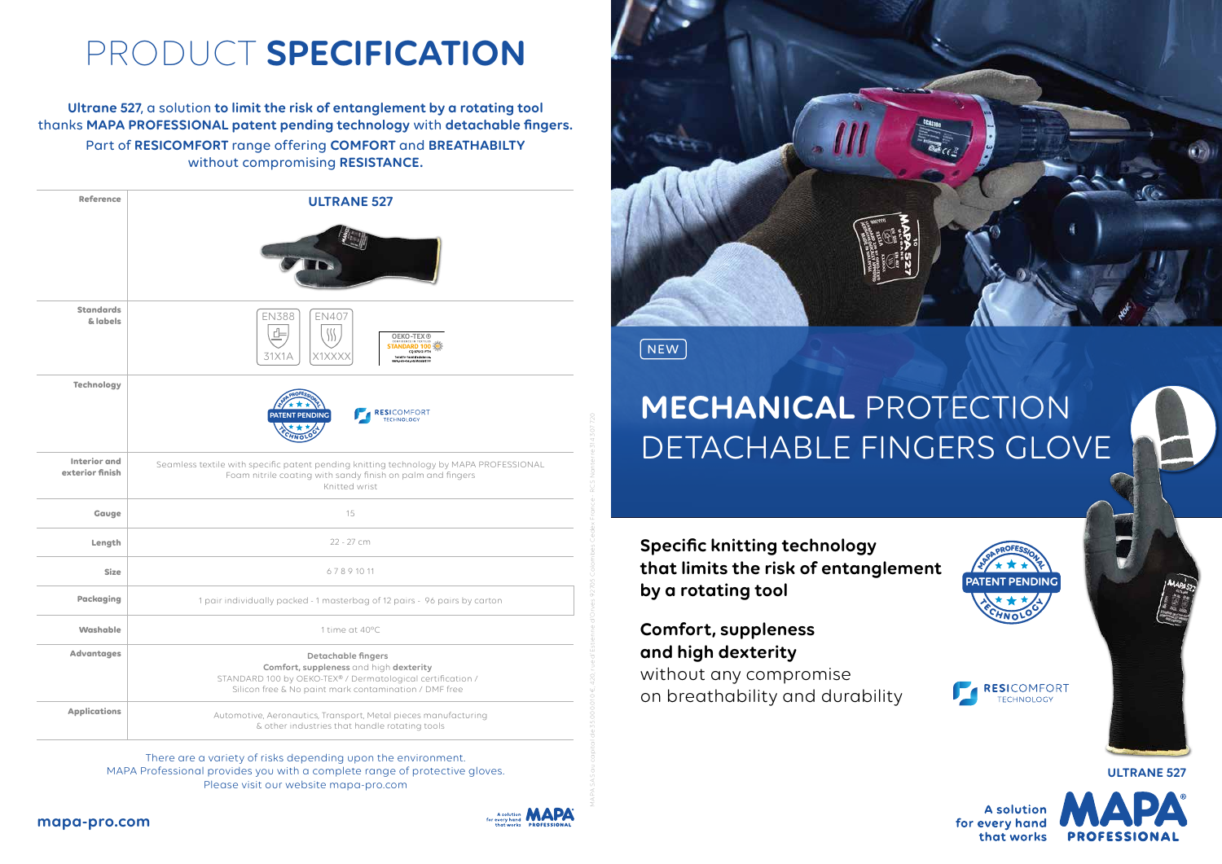| <b>Reference</b>                       | <b>ULTRANE 527</b>                                                                                                                                                                                            |  |
|----------------------------------------|---------------------------------------------------------------------------------------------------------------------------------------------------------------------------------------------------------------|--|
|                                        |                                                                                                                                                                                                               |  |
| <b>Standards</b><br>& labels           | <b>EN388</b><br><b>EN407</b><br><b>OEKO-TEX®</b><br>CONFIDENCE IN TEXTILES<br><b>STANDARD 100</b><br><b>CQ 979/2 IFTH</b><br>31X1A<br>X1XXXX<br>Tested for harmful substances<br>www.orko-trx.com/standard100 |  |
| <b>Technology</b>                      | <b>RESICOMFORT</b><br><b>PATENT PENDING</b><br><b>TECHNOLOGY</b>                                                                                                                                              |  |
| <b>Interior and</b><br>exterior finish | Seamless textile with specific patent pending knitting technology by MAPA PROFESSIONAL<br>Foam nitrile coating with sandy finish on palm and fingers<br>Knitted wrist                                         |  |
| Gauge                                  | 15                                                                                                                                                                                                            |  |
| Length                                 | 22 - 27 cm                                                                                                                                                                                                    |  |
| <b>Size</b>                            | 67891011                                                                                                                                                                                                      |  |
| <b>Packaging</b>                       | 1 pair individually packed - 1 masterbag of 12 pairs - 96 pairs by carton                                                                                                                                     |  |
| Washable                               | 1 time at 40°C                                                                                                                                                                                                |  |
| <b>Advantages</b>                      | <b>Detachable fingers</b><br>Comfort, suppleness and high dexterity<br>STANDARD 100 by OEKO-TEX® / Dermatological certification /<br>Silicon free & No paint mark contamination / DMF free                    |  |
| <b>Applications</b>                    | Automotive, Aeronautics, Transport, Metal pieces manufacturing<br>& other industries that handle rotating tools                                                                                               |  |

## PRODUCT **SPECIFICATION**

**Ultrane 527**, a solution **to limit the risk of entanglement by a rotating tool** thanks **MAPA PROFESSIONAL patent pending technology** with **detachable fingers.** Part of **RESICOMFORT** range offering **COMFORT** and **BREATHABILTY**  without compromising **RESISTANCE.**

> There are a variety of risks depending upon the environment. MAPA Professional provides you with a complete range of protective gloves. Please visit our website mapa-pro.com



 $\sqrt{\phantom{a}}$  NEW  $\sqrt{\phantom{a}}$ 

**Specific knitting technology that limits the risk of entanglement by a rotating tool**

**Comfort, suppleness and high dexterity**

without any compromise on breathability and durability



## **MECHANICAL** PROTECTION DETACHABLE FINGERS GLOVE

**ULTRANE 527**

**A solution** for every hand that works







MAPA SAS au capital de 35.000.010 €, 420, rue d'Estienne d'Orves 92705 Colombes Cedex France - RCS Nanterre 314 307 720